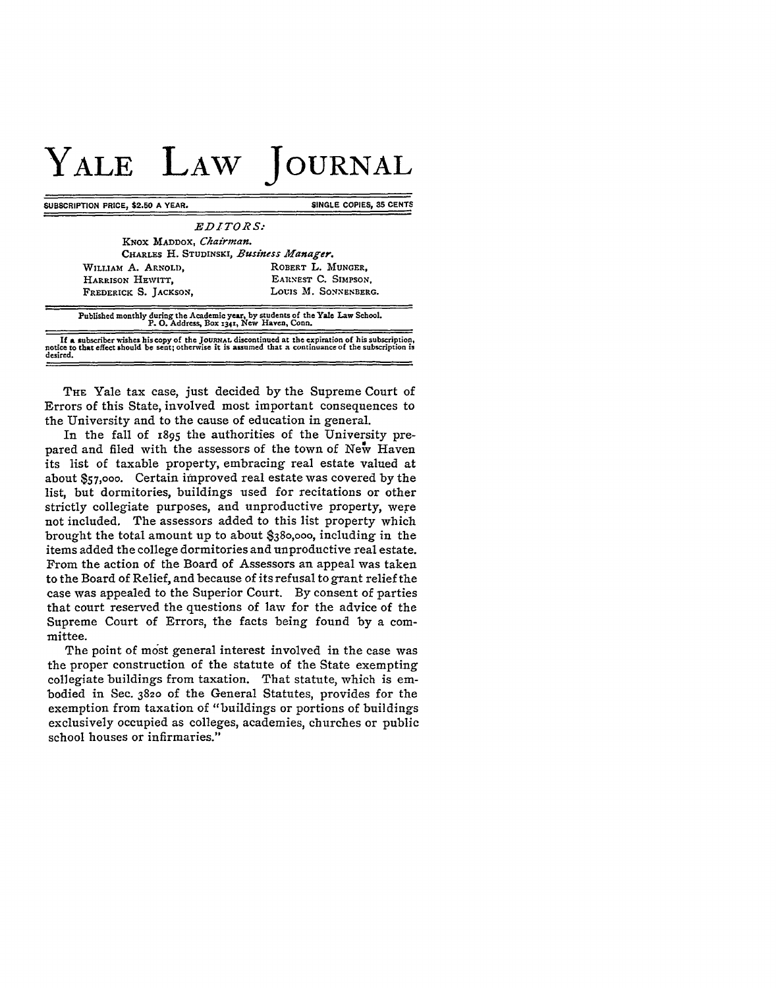## **YALE LAW JOURNAL**

**SUBSCRIPTION PRICE, \$2.50 A YEAR.** SINGLE COPIES, 35 CENTS

| <i>EDITORS:</i><br>KNOX MADDOX, Chairman. |                      |
|-------------------------------------------|----------------------|
|                                           |                      |
| WILLIAM A. ARNOLD,                        | ROBERT L. MUNGER.    |
| HARRISON HEWITT.                          | EARNEST C. SIMPSON.  |
| FREDERICK S. JACKSON,                     | LOUIS M. SONNENBERG. |
|                                           |                      |

**Published monthly during the Academic year, by students of the Yale Law School. P. 0. Address, Box 134t, New Haven, Conn.**

**If a subscriber wishes his copy of the JOURNAL discontinued** at **the expiration of his subscription, notice to that effect should be sent; otherwise it is assumed that a continuance of the subscription is desired.**

THE Yale tax case, just decided by the Supreme Court of Errors of this State, involved most important consequences to the University and to the cause of education in general.

In the fall of 1895 the authorities of the University prepared and filed with the assessors of the town of New Haven its list of taxable property, embracing real estate valued at about **\$57,000.** Certain improved real estate was covered **by** the list, but dormitories, buildings used for recitations or other strictly collegiate purposes, and unproductive property, were not included. The assessors added to this list property which brought the total amount up to about **\$380,000,** including in the items added the college dormitories and unproductive real estate. From the action of the Board of Assessors an appeal was taken to the Board of Relief, and because of its refusal to grant relief the case was appealed to the Superior Court. **By** consent of parties that court reserved the questions of law for the advice of the Supreme Court of Errors, the facts being found **by** a committee.

The point of most general interest involved in the case was the proper construction of the statute of the State exempting collegiate buildings from taxation. That statute, which is embodied in Sec. **3820** of the General Statutes, provides for the exemption from taxation of "buildings or portions of buildings exclusively occupied as colleges, academies, churches or public school houses or infirmaries."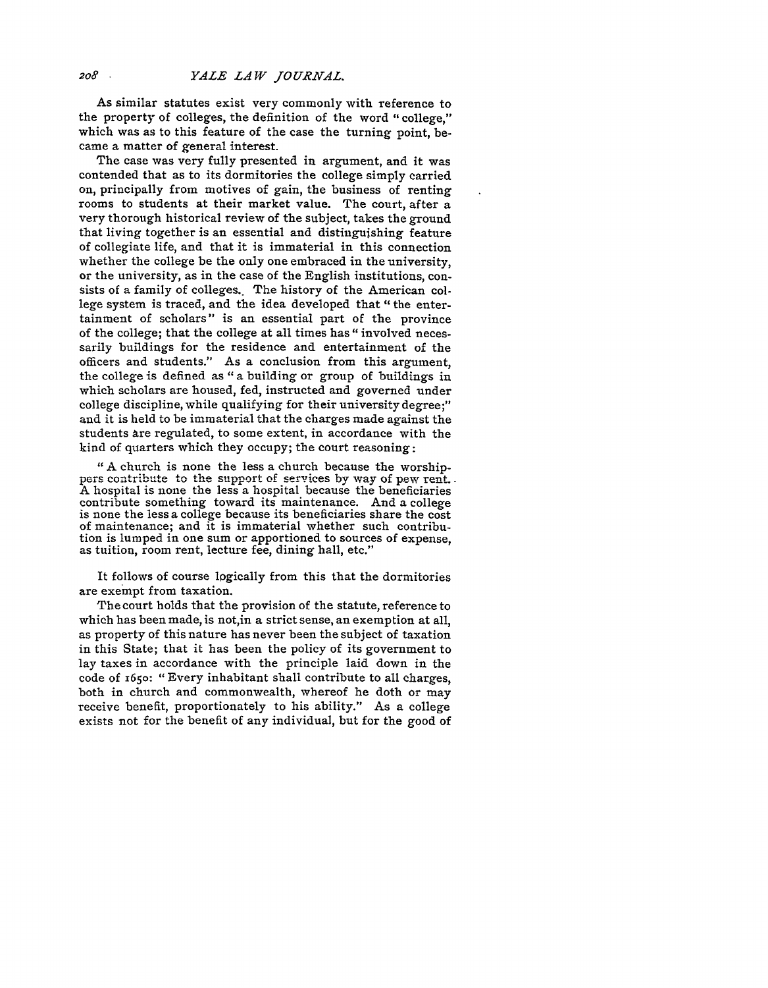As similar statutes exist very commonly with reference to the property of colleges, the definition of the word "college," which was as to this feature of the case the turning point, became a matter of general interest.

The case was very fully presented in argument, and it was contended that as to its dormitories the college simply carried on, principally from motives of gain, the business of renting rooms to students at their market value. The court, after a very thorough historical review of the subject, takes the ground that living together is an essential and distinguishing feature of collegiate life, and that it is immaterial in this connection whether the college be the only one embraced in the university, or the university, as in the case of the English institutions, consists of a family of colleges. The history of the American college system is traced, and the idea developed that "the entertainment of scholars" is an essential part of the province of the college; that the college at all times has " involved necessarily buildings for the residence and entertainment of the officers and students." As a conclusion from this argument, the college is defined as "a building or group of buildings in which scholars are housed, fed, instructed and governed under college discipline, while qualifying for their university degree;" and it is held to be immaterial that the charges made against the students are regulated, to some extent, in accordance with the kind of quarters which they occupy; the court reasoning:

"A church is none the less a church because the worshippers contribute to the support of services by way of pew rent. A hospital is none the less a hospital because the beneficiaries contribute something toward its maintenance. And a college is none the less a college because its beneficiaries share the cost of maintenance; and it is immaterial whether such contribution is lumped in one sum or apportioned to sources of expense, as tuition, room rent, lecture fee, dining hall, etc."

It follows of course logically from this that the dormitories are exempt from taxation.

The court holds that the provision of the statute, reference to which has been made, is not,in a strict sense, an exemption at all, as property of this nature has never been the subject of taxation in this State; that it has been the policy of its government to lay taxes in accordance with the principle laid down in the code of 165o: "Every inhabitant shall contribute to all charges, both in church and commonwealth, whereof he doth or may receive benefit, proportionately to his ability." As a college exists not for the benefit of any individual, but for the good of

*208*